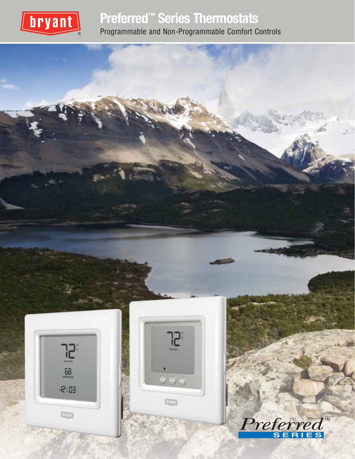

## **Preferred™ Series Thermostats** Programmable and Non-Programmable Comfort Controls

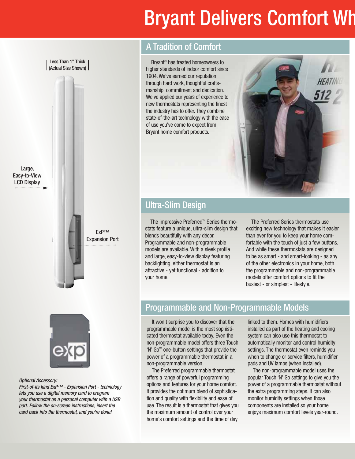# Bryant Delivers Comfort Wh

Less Than 1" Thick (Actual Size Shown)

Large, Easy-to-View LCD Display



ExP™

## A Tradition of Comfort

Bryant® has treated homeowners to higher standards of indoor comfort since 1904. We've earned our reputation through hard work, thoughtful craftsmanship, commitment and dedication. We've applied our years of experience to new thermostats representing the finest the industry has to offer. They combine state-of-the-art technology with the ease of use you've come to expect from Bryant home comfort products.



## Ultra-Slim Design

The impressive Preferred™ Series thermostats feature a unique, ultra-slim design that blends beautifully with any décor. Programmable and non-programmable models are available. With a sleek profile and large, easy-to-view display featuring backlighting, either thermostat is an attractive - yet functional - addition to your home.

The Preferred Series thermostats use exciting new technology that makes it easier than ever for you to keep your home comfortable with the touch of just a few buttons. And while these thermostats are designed to be as smart - and smart-looking - as any of the other electronics in your home, both the programmable and non-programmable models offer comfort options to fit the busiest - or simplest - lifestyle.



#### Optional Accessory:

First-of-its kind ExP™ - Expansion Port - technology lets you use a digital memory card to program your thermostat on a personal computer with a USB port. Follow the on-screen instructions, insert the card back into the thermostat, and you're done!

## Programmable and Non-Programmable Models

It won't surprise you to discover that the programmable model is the most sophisticated thermostat available today. Even the non-programmable model offers three Touch 'N' Go™ one-button settings that provide the power of a programmable thermostat in a non-programmable version.

The Preferred programmable thermostat offers a range of powerful programming options and features for your home comfort. It provides the optimum blend of sophistication and quality with flexibility and ease of use. The result is a thermostat that gives you the maximum amount of control over your home's comfort settings and the time of day

linked to them. Homes with humidifiers installed as part of the heating and cooling system can also use this thermostat to automatically monitor and control humidity settings. The thermostat even reminds you when to change or service filters, humidifier pads and UV lamps (when installed).

The non-programmable model uses the popular Touch 'N' Go settings to give you the power of a programmable thermostat without the extra programming steps. It can also monitor humidity settings when those components are installed so your home enjoys maximum comfort levels year-round.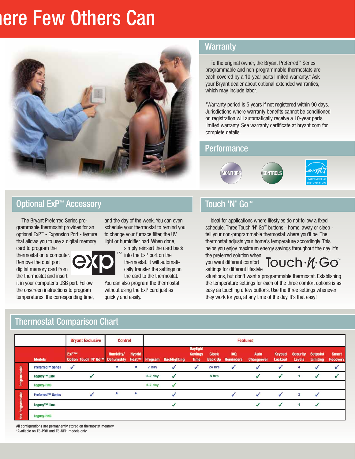## **here Few Others Can**



## **Warranty**

To the original owner, the Bryant Preferred™ Series programmable and non-programmable thermostats are each covered by a 10-year parts limited warranty.\* Ask your Bryant dealer about optional extended warranties, which may include labor.

\*Warranty period is 5 years if not registered within 90 days. Jurisdictions where warranty benefits cannot be conditioned on registration will automatically receive a 10-year parts limited warranty. See warranty certificate at bryant.com for complete details.

### **Performance**



## Optional ExP™ Accessory

The Bryant Preferred Series programmable thermostat provides for an optional ExP™ - Expansion Port - feature that allows you to use a digital memory

card to program the thermostat on a computer. Remove the dual port digital memory card from the thermostat and insert

it in your computer's USB port. Follow the onscreen instructions to program temperatures, the corresponding time,

Thermostat Comparison Chart

and the day of the week. You can even schedule your thermostat to remind you to change your furnace filter, the UV light or humidifier pad. When done,



simply reinsert the card back

into the ExP port on the thermostat. It will automatically transfer the settings on the card to the thermostat.

You can also program the thermostat without using the ExP card just as quickly and easily.

## Touch 'N' Go™

Ideal for applications where lifestyles do not follow a fixed schedule. Three Touch 'N' Go™ buttons - home, away or sleep tell your non-programmable thermostat where you'll be. The thermostat adjusts your home's temperature accordingly. This helps you enjoy maximum energy savings throughout the day. It's the preferred solution when

you want different comfort settings for different lifestyle

Touch . *I*I. Go

situations, but don't want a programmable thermostat. Establishing the temperature settings for each of the three comfort options is as easy as touching a few buttons. Use the three settings whenever they work for you, at any time of the day. It's that easy!

|                         |                          | <b>Bryant Exclusive</b>                         | <b>Control</b>   |               | <b>Features</b> |                     |                                                  |              |                                        |                           |                          |                                  |                                    |                                 |
|-------------------------|--------------------------|-------------------------------------------------|------------------|---------------|-----------------|---------------------|--------------------------------------------------|--------------|----------------------------------------|---------------------------|--------------------------|----------------------------------|------------------------------------|---------------------------------|
|                         | <b>Models</b>            | <b>ExPTM</b><br>Option Touch 'N' Go™ Dehumidity | <b>Humidity/</b> | <b>Hybrid</b> | Heat™ Program   | <b>Backlighting</b> | <b>Daylight</b><br><b>Savings</b><br><b>Time</b> | <b>Clock</b> | <b>IAQ</b><br><b>Back Up</b> Reminders | Auto<br><b>Changeover</b> | Keypad<br><b>Lockout</b> | <b>Security</b><br><b>Levels</b> | <b>Setpoint</b><br><b>Limiting</b> | <b>Smart</b><br><b>Recovery</b> |
| Programmable            | <b>Preferred™ Series</b> |                                                 | ÷                | $\mathbf{r}$  | 7 day           |                     |                                                  | 24 hrs       |                                        |                           |                          | 4                                |                                    |                                 |
|                         | Legacy™ Line             |                                                 |                  |               | $5-2$ day       |                     |                                                  | 8 hrs        |                                        |                           |                          |                                  |                                    |                                 |
|                         | Legacy-RNC               |                                                 |                  |               | $5-2$ day       |                     |                                                  |              |                                        |                           |                          |                                  |                                    |                                 |
| <b>Von-Programmable</b> | <b>Preferred™ Series</b> |                                                 | *                | $\mathbf{r}$  |                 |                     |                                                  |              |                                        |                           |                          | $\overline{\mathbf{3}}$          |                                    |                                 |
|                         | Legacy <sup>™</sup> Line |                                                 |                  |               |                 |                     |                                                  |              |                                        |                           |                          |                                  |                                    |                                 |
|                         | <b>Legacy-RNC</b>        |                                                 |                  |               |                 |                     |                                                  |              |                                        |                           |                          |                                  |                                    |                                 |

All configurations are permanently stored on thermostat memory \*Available on T6-PRH and T6-NRH models only